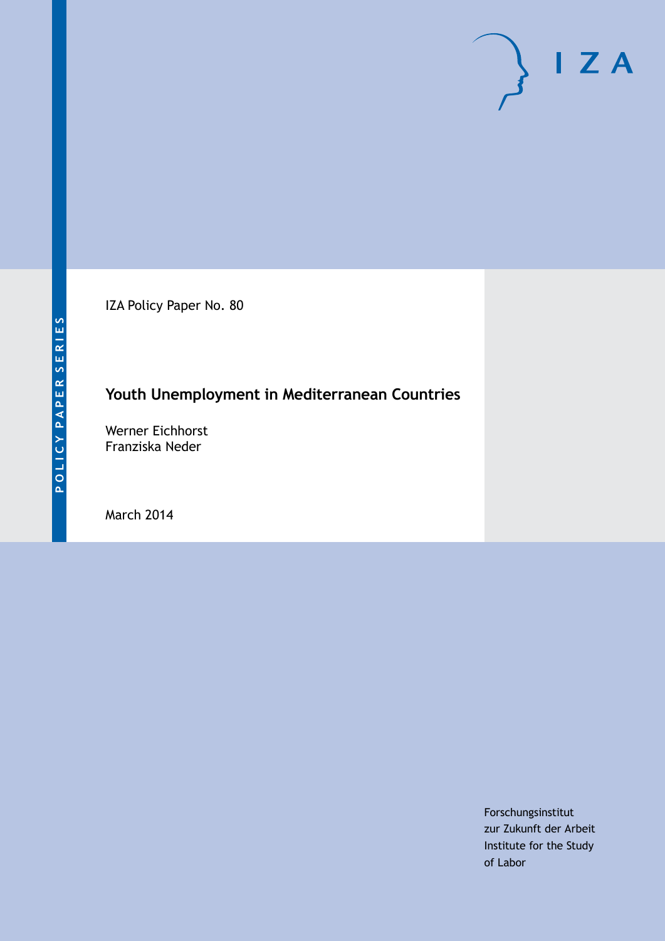IZA Policy Paper No. 80

## **Youth Unemployment in Mediterranean Countries**

Werner Eichhorst Franziska Neder

March 2014

Forschungsinstitut zur Zukunft der Arbeit Institute for the Study of Labor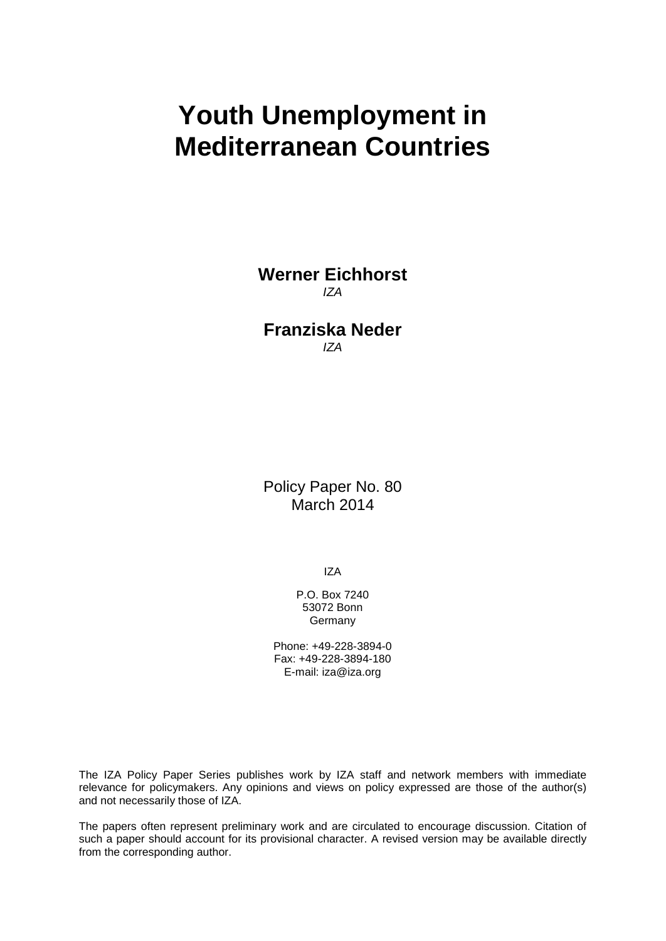# **Youth Unemployment in Mediterranean Countries**

**Werner Eichhorst** *IZA*

## **Franziska Neder** *IZA*

Policy Paper No. 80 March 2014

IZA

P.O. Box 7240 53072 Bonn Germany

Phone: +49-228-3894-0 Fax: +49-228-3894-180 E-mail: [iza@iza.org](mailto:iza@iza.org)

The IZA Policy Paper Series publishes work by IZA staff and network members with immediate relevance for policymakers. Any opinions and views on policy expressed are those of the author(s) and not necessarily those of IZA.

The papers often represent preliminary work and are circulated to encourage discussion. Citation of such a paper should account for its provisional character. A revised version may be available directly from the corresponding author.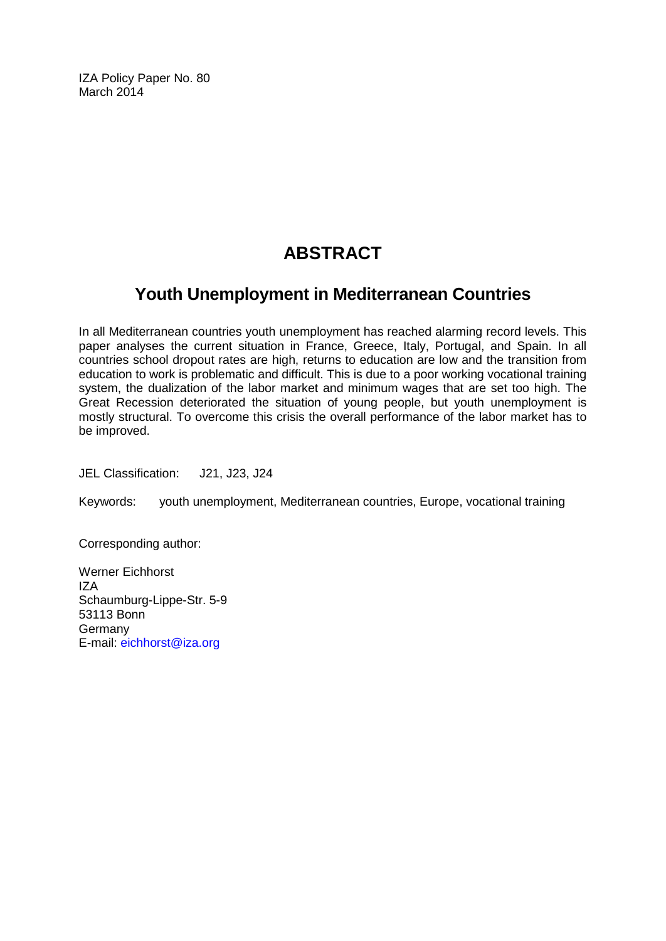IZA Policy Paper No. 80 March 2014

# **ABSTRACT**

## **Youth Unemployment in Mediterranean Countries**

In all Mediterranean countries youth unemployment has reached alarming record levels. This paper analyses the current situation in France, Greece, Italy, Portugal, and Spain. In all countries school dropout rates are high, returns to education are low and the transition from education to work is problematic and difficult. This is due to a poor working vocational training system, the dualization of the labor market and minimum wages that are set too high. The Great Recession deteriorated the situation of young people, but youth unemployment is mostly structural. To overcome this crisis the overall performance of the labor market has to be improved.

JEL Classification: J21, J23, J24

Keywords: youth unemployment, Mediterranean countries, Europe, vocational training

Corresponding author:

Werner Eichhorst IZA Schaumburg-Lippe-Str. 5-9 53113 Bonn Germany E-mail: [eichhorst@iza.org](mailto:eichhorst@iza.org)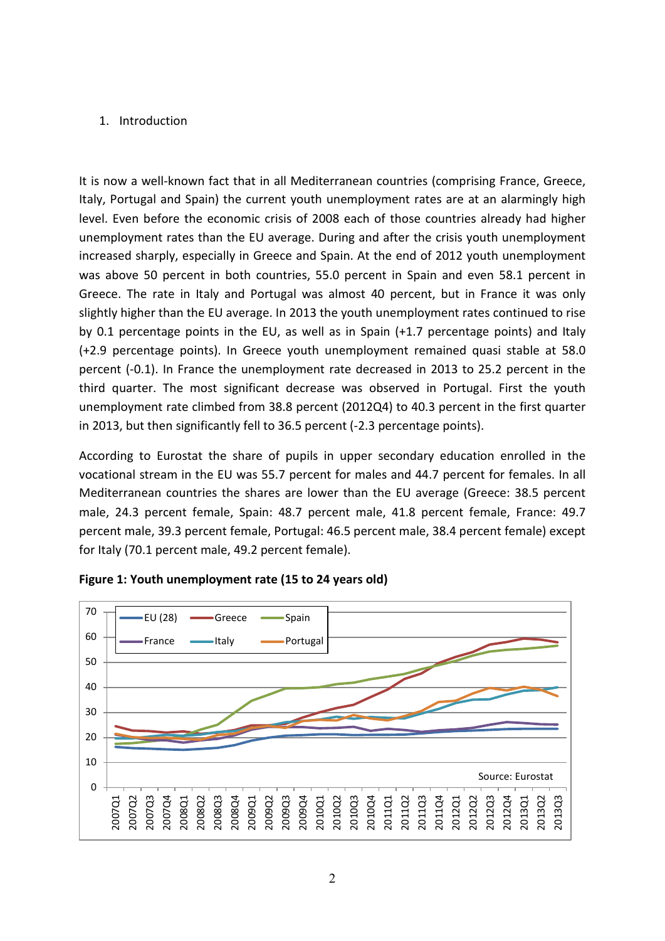### 1. Introduction

It is now a well-known fact that in all Mediterranean countries (comprising France, Greece, Italy, Portugal and Spain) the current youth unemployment rates are at an alarmingly high level. Even before the economic crisis of 2008 each of those countries already had higher unemployment rates than the EU average. During and after the crisis youth unemployment increased sharply, especially in Greece and Spain. At the end of 2012 youth unemployment was above 50 percent in both countries, 55.0 percent in Spain and even 58.1 percent in Greece. The rate in Italy and Portugal was almost 40 percent, but in France it was only slightly higher than the EU average. In 2013 the youth unemployment rates continued to rise by 0.1 percentage points in the EU, as well as in Spain (+1.7 percentage points) and Italy (+2.9 percentage points). In Greece youth unemployment remained quasi stable at 58.0 percent (-0.1). In France the unemployment rate decreased in 2013 to 25.2 percent in the third quarter. The most significant decrease was observed in Portugal. First the youth unemployment rate climbed from 38.8 percent (2012Q4) to 40.3 percent in the first quarter in 2013, but then significantly fell to 36.5 percent (-2.3 percentage points).

According to Eurostat the share of pupils in upper secondary education enrolled in the vocational stream in the EU was 55.7 percent for males and 44.7 percent for females. In all Mediterranean countries the shares are lower than the EU average (Greece: 38.5 percent male, 24.3 percent female, Spain: 48.7 percent male, 41.8 percent female, France: 49.7 percent male, 39.3 percent female, Portugal: 46.5 percent male, 38.4 percent female) except for Italy (70.1 percent male, 49.2 percent female).



#### **Figure 1: Youth unemployment rate (15 to 24 years old)**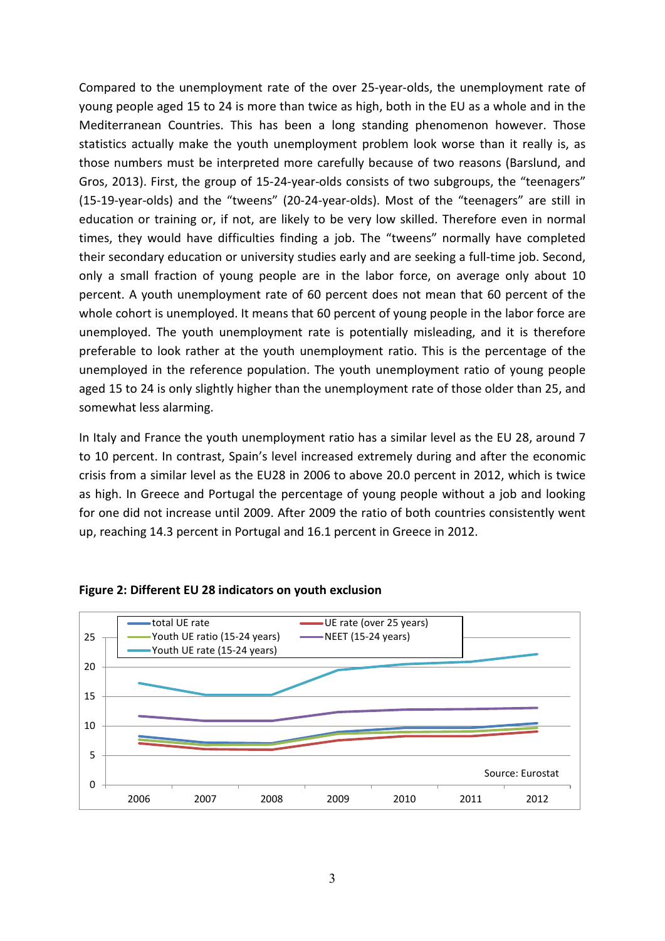Compared to the unemployment rate of the over 25-year-olds, the unemployment rate of young people aged 15 to 24 is more than twice as high, both in the EU as a whole and in the Mediterranean Countries. This has been a long standing phenomenon however. Those statistics actually make the youth unemployment problem look worse than it really is, as those numbers must be interpreted more carefully because of two reasons (Barslund, and Gros, 2013). First, the group of 15-24-year-olds consists of two subgroups, the "teenagers" (15-19-year-olds) and the "tweens" (20-24-year-olds). Most of the "teenagers" are still in education or training or, if not, are likely to be very low skilled. Therefore even in normal times, they would have difficulties finding a job. The "tweens" normally have completed their secondary education or university studies early and are seeking a full-time job. Second, only a small fraction of young people are in the labor force, on average only about 10 percent. A youth unemployment rate of 60 percent does not mean that 60 percent of the whole cohort is unemployed. It means that 60 percent of young people in the labor force are unemployed. The youth unemployment rate is potentially misleading, and it is therefore preferable to look rather at the youth unemployment ratio. This is the percentage of the unemployed in the reference population. The youth unemployment ratio of young people aged 15 to 24 is only slightly higher than the unemployment rate of those older than 25, and somewhat less alarming.

In Italy and France the youth unemployment ratio has a similar level as the EU 28, around 7 to 10 percent. In contrast, Spain's level increased extremely during and after the economic crisis from a similar level as the EU28 in 2006 to above 20.0 percent in 2012, which is twice as high. In Greece and Portugal the percentage of young people without a job and looking for one did not increase until 2009. After 2009 the ratio of both countries consistently went up, reaching 14.3 percent in Portugal and 16.1 percent in Greece in 2012.



#### **Figure 2: Different EU 28 indicators on youth exclusion**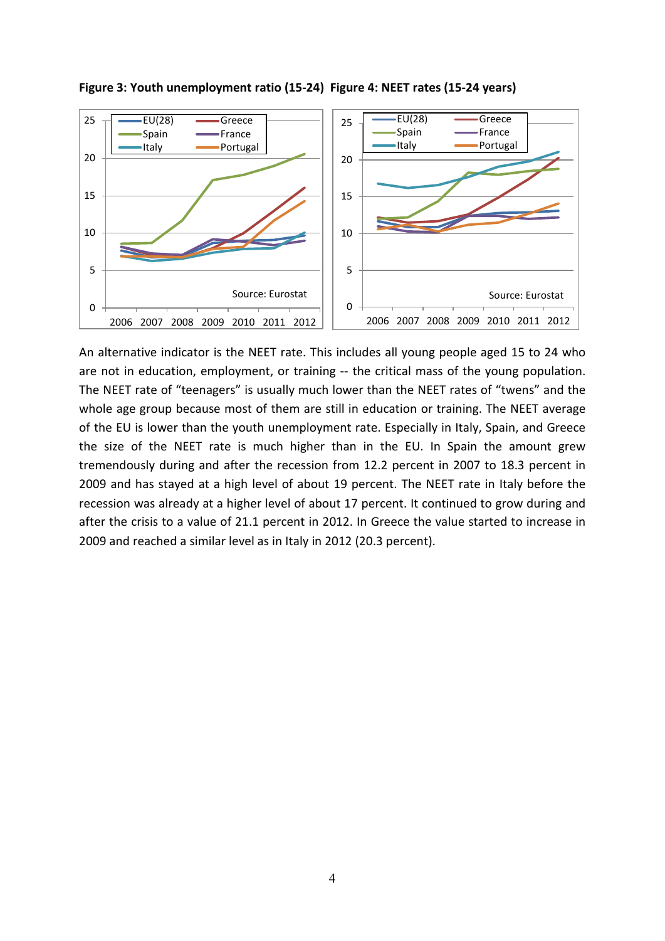

**Figure 3: Youth unemployment ratio (15-24) Figure 4: NEET rates (15-24 years)**

An alternative indicator is the NEET rate. This includes all young people aged 15 to 24 who are not in education, employment, or training -- the critical mass of the young population. The NEET rate of "teenagers" is usually much lower than the NEET rates of "twens" and the whole age group because most of them are still in education or training. The NEET average of the EU is lower than the youth unemployment rate. Especially in Italy, Spain, and Greece the size of the NEET rate is much higher than in the EU. In Spain the amount grew tremendously during and after the recession from 12.2 percent in 2007 to 18.3 percent in 2009 and has stayed at a high level of about 19 percent. The NEET rate in Italy before the recession was already at a higher level of about 17 percent. It continued to grow during and after the crisis to a value of 21.1 percent in 2012. In Greece the value started to increase in 2009 and reached a similar level as in Italy in 2012 (20.3 percent).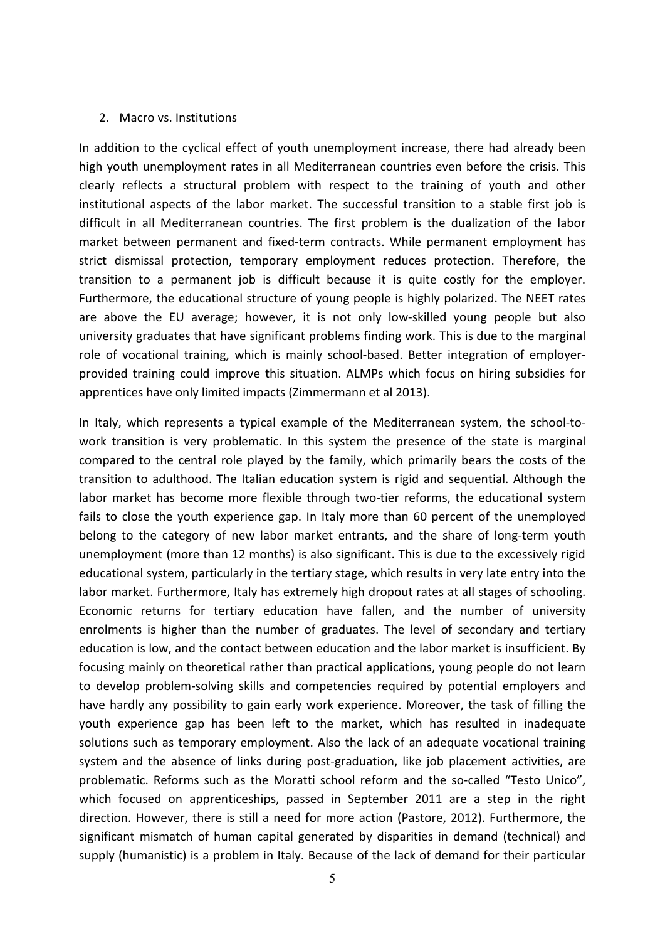#### 2. Macro vs. Institutions

In addition to the cyclical effect of youth unemployment increase, there had already been high youth unemployment rates in all Mediterranean countries even before the crisis. This clearly reflects a structural problem with respect to the training of youth and other institutional aspects of the labor market. The successful transition to a stable first job is difficult in all Mediterranean countries. The first problem is the dualization of the labor market between permanent and fixed-term contracts. While permanent employment has strict dismissal protection, temporary employment reduces protection. Therefore, the transition to a permanent job is difficult because it is quite costly for the employer. Furthermore, the educational structure of young people is highly polarized. The NEET rates are above the EU average; however, it is not only low-skilled young people but also university graduates that have significant problems finding work. This is due to the marginal role of vocational training, which is mainly school-based. Better integration of employerprovided training could improve this situation. ALMPs which focus on hiring subsidies for apprentices have only limited impacts (Zimmermann et al 2013).

In Italy, which represents a typical example of the Mediterranean system, the school-towork transition is very problematic. In this system the presence of the state is marginal compared to the central role played by the family, which primarily bears the costs of the transition to adulthood. The Italian education system is rigid and sequential. Although the labor market has become more flexible through two-tier reforms, the educational system fails to close the youth experience gap. In Italy more than 60 percent of the unemployed belong to the category of new labor market entrants, and the share of long-term youth unemployment (more than 12 months) is also significant. This is due to the excessively rigid educational system, particularly in the tertiary stage, which results in very late entry into the labor market. Furthermore, Italy has extremely high dropout rates at all stages of schooling. Economic returns for tertiary education have fallen, and the number of university enrolments is higher than the number of graduates. The level of secondary and tertiary education is low, and the contact between education and the labor market is insufficient. By focusing mainly on theoretical rather than practical applications, young people do not learn to develop problem-solving skills and competencies required by potential employers and have hardly any possibility to gain early work experience. Moreover, the task of filling the youth experience gap has been left to the market, which has resulted in inadequate solutions such as temporary employment. Also the lack of an adequate vocational training system and the absence of links during post-graduation, like job placement activities, are problematic. Reforms such as the Moratti school reform and the so-called "Testo Unico", which focused on apprenticeships, passed in September 2011 are a step in the right direction. However, there is still a need for more action (Pastore, 2012). Furthermore, the significant mismatch of human capital generated by disparities in demand (technical) and supply (humanistic) is a problem in Italy. Because of the lack of demand for their particular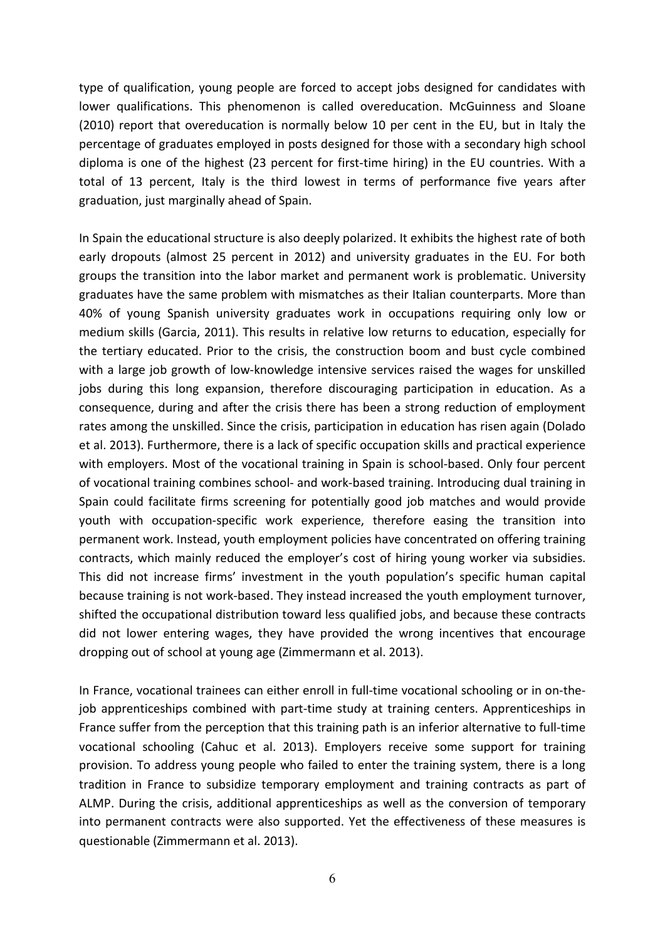type of qualification, young people are forced to accept jobs designed for candidates with lower qualifications. This phenomenon is called overeducation. McGuinness and Sloane (2010) report that overeducation is normally below 10 per cent in the EU, but in Italy the percentage of graduates employed in posts designed for those with a secondary high school diploma is one of the highest (23 percent for first-time hiring) in the EU countries. With a total of 13 percent, Italy is the third lowest in terms of performance five years after graduation, just marginally ahead of Spain.

In Spain the educational structure is also deeply polarized. It exhibits the highest rate of both early dropouts (almost 25 percent in 2012) and university graduates in the EU. For both groups the transition into the labor market and permanent work is problematic. University graduates have the same problem with mismatches as their Italian counterparts. More than 40% of young Spanish university graduates work in occupations requiring only low or medium skills (Garcia, 2011). This results in relative low returns to education, especially for the tertiary educated. Prior to the crisis, the construction boom and bust cycle combined with a large job growth of low-knowledge intensive services raised the wages for unskilled jobs during this long expansion, therefore discouraging participation in education. As a consequence, during and after the crisis there has been a strong reduction of employment rates among the unskilled. Since the crisis, participation in education has risen again (Dolado et al. 2013). Furthermore, there is a lack of specific occupation skills and practical experience with employers. Most of the vocational training in Spain is school-based. Only four percent of vocational training combines school- and work-based training. Introducing dual training in Spain could facilitate firms screening for potentially good job matches and would provide youth with occupation-specific work experience, therefore easing the transition into permanent work. Instead, youth employment policies have concentrated on offering training contracts, which mainly reduced the employer's cost of hiring young worker via subsidies. This did not increase firms' investment in the youth population's specific human capital because training is not work-based. They instead increased the youth employment turnover, shifted the occupational distribution toward less qualified jobs, and because these contracts did not lower entering wages, they have provided the wrong incentives that encourage dropping out of school at young age (Zimmermann et al. 2013).

In France, vocational trainees can either enroll in full-time vocational schooling or in on-thejob apprenticeships combined with part-time study at training centers. Apprenticeships in France suffer from the perception that this training path is an inferior alternative to full-time vocational schooling (Cahuc et al. 2013). Employers receive some support for training provision. To address young people who failed to enter the training system, there is a long tradition in France to subsidize temporary employment and training contracts as part of ALMP. During the crisis, additional apprenticeships as well as the conversion of temporary into permanent contracts were also supported. Yet the effectiveness of these measures is questionable (Zimmermann et al. 2013).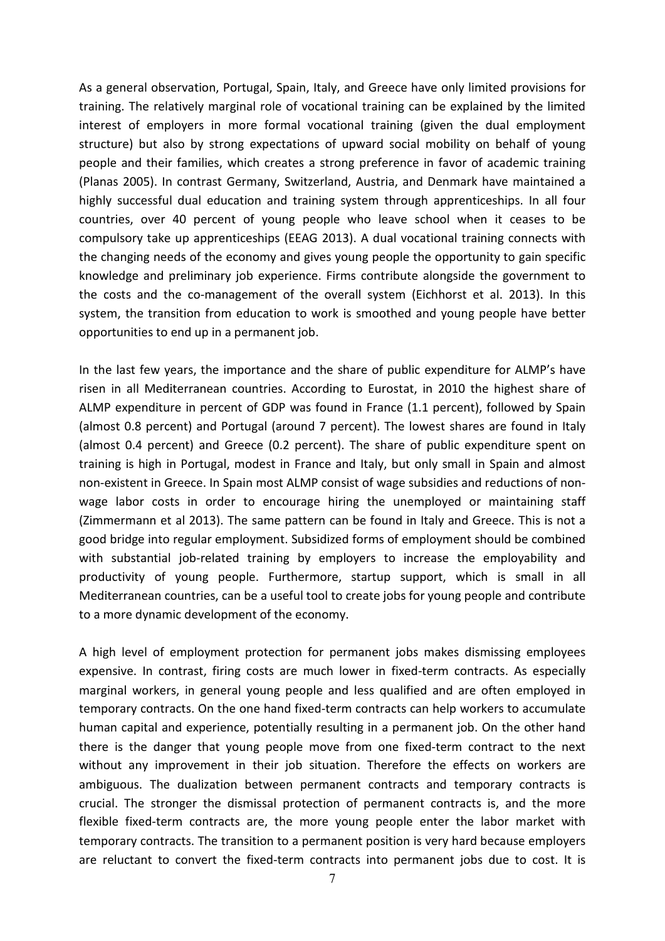As a general observation, Portugal, Spain, Italy, and Greece have only limited provisions for training. The relatively marginal role of vocational training can be explained by the limited interest of employers in more formal vocational training (given the dual employment structure) but also by strong expectations of upward social mobility on behalf of young people and their families, which creates a strong preference in favor of academic training (Planas 2005). In contrast Germany, Switzerland, Austria, and Denmark have maintained a highly successful dual education and training system through apprenticeships. In all four countries, over 40 percent of young people who leave school when it ceases to be compulsory take up apprenticeships (EEAG 2013). A dual vocational training connects with the changing needs of the economy and gives young people the opportunity to gain specific knowledge and preliminary job experience. Firms contribute alongside the government to the costs and the co-management of the overall system (Eichhorst et al. 2013). In this system, the transition from education to work is smoothed and young people have better opportunities to end up in a permanent job.

In the last few years, the importance and the share of public expenditure for ALMP's have risen in all Mediterranean countries. According to Eurostat, in 2010 the highest share of ALMP expenditure in percent of GDP was found in France (1.1 percent), followed by Spain (almost 0.8 percent) and Portugal (around 7 percent). The lowest shares are found in Italy (almost 0.4 percent) and Greece (0.2 percent). The share of public expenditure spent on training is high in Portugal, modest in France and Italy, but only small in Spain and almost non-existent in Greece. In Spain most ALMP consist of wage subsidies and reductions of nonwage labor costs in order to encourage hiring the unemployed or maintaining staff (Zimmermann et al 2013). The same pattern can be found in Italy and Greece. This is not a good bridge into regular employment. Subsidized forms of employment should be combined with substantial job-related training by employers to increase the employability and productivity of young people. Furthermore, startup support, which is small in all Mediterranean countries, can be a useful tool to create jobs for young people and contribute to a more dynamic development of the economy.

A high level of employment protection for permanent jobs makes dismissing employees expensive. In contrast, firing costs are much lower in fixed-term contracts. As especially marginal workers, in general young people and less qualified and are often employed in temporary contracts. On the one hand fixed-term contracts can help workers to accumulate human capital and experience, potentially resulting in a permanent job. On the other hand there is the danger that young people move from one fixed-term contract to the next without any improvement in their job situation. Therefore the effects on workers are ambiguous. The dualization between permanent contracts and temporary contracts is crucial. The stronger the dismissal protection of permanent contracts is, and the more flexible fixed-term contracts are, the more young people enter the labor market with temporary contracts. The transition to a permanent position is very hard because employers are reluctant to convert the fixed-term contracts into permanent jobs due to cost. It is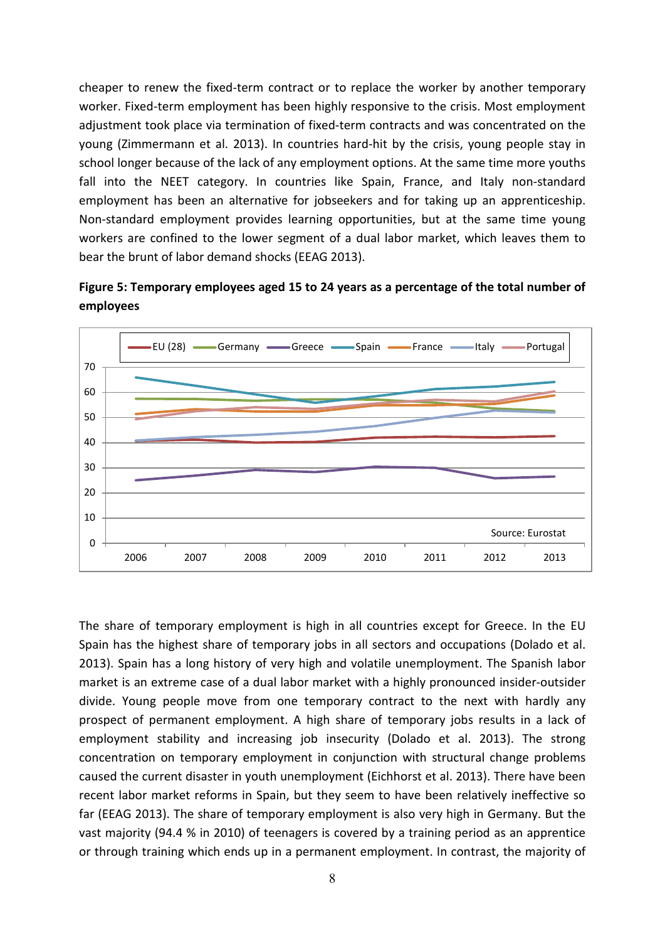cheaper to renew the fixed-term contract or to replace the worker by another temporary worker. Fixed-term employment has been highly responsive to the crisis. Most employment adjustment took place via termination of fixed-term contracts and was concentrated on the young (Zimmermann et al. 2013). In countries hard-hit by the crisis, young people stay in school longer because of the lack of any employment options. At the same time more youths fall into the NEET category. In countries like Spain, France, and Italy non-standard employment has been an alternative for jobseekers and for taking up an apprenticeship. Non-standard employment provides learning opportunities, but at the same time young workers are confined to the lower segment of a dual labor market, which leaves them to bear the brunt of labor demand shocks (EEAG 2013).





The share of temporary employment is high in all countries except for Greece. In the EU Spain has the highest share of temporary jobs in all sectors and occupations (Dolado et al. 2013). Spain has a long history of very high and volatile unemployment. The Spanish labor market is an extreme case of a dual labor market with a highly pronounced insider-outsider divide. Young people move from one temporary contract to the next with hardly any prospect of permanent employment. A high share of temporary jobs results in a lack of employment stability and increasing job insecurity (Dolado et al. 2013). The strong concentration on temporary employment in conjunction with structural change problems caused the current disaster in youth unemployment (Eichhorst et al. 2013). There have been recent labor market reforms in Spain, but they seem to have been relatively ineffective so far (EEAG 2013). The share of temporary employment is also very high in Germany. But the vast majority (94.4 % in 2010) of teenagers is covered by a training period as an apprentice or through training which ends up in a permanent employment. In contrast, the majority of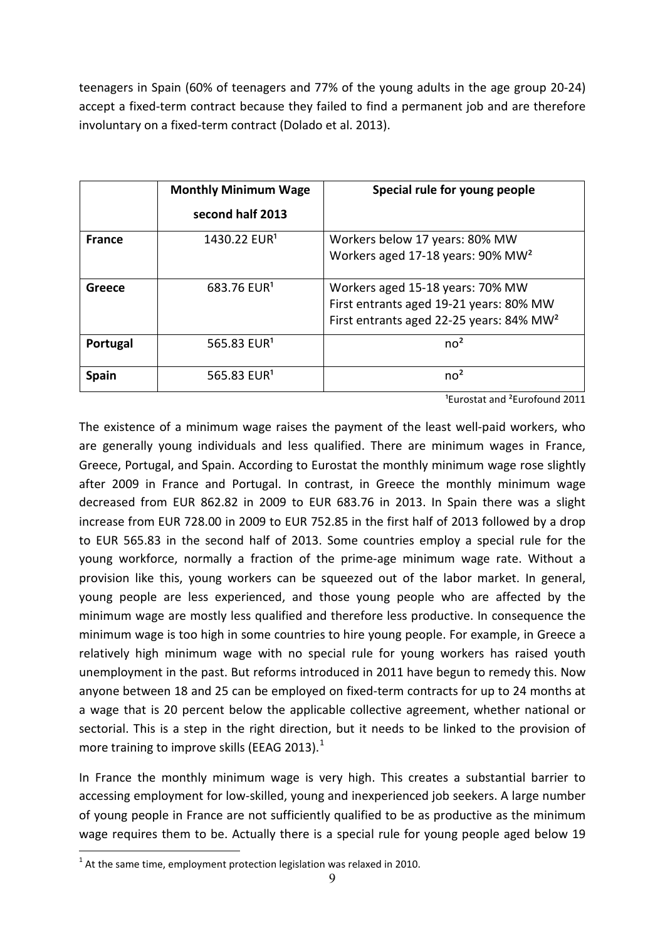teenagers in Spain (60% of teenagers and 77% of the young adults in the age group 20-24) accept a fixed-term contract because they failed to find a permanent job and are therefore involuntary on a fixed-term contract (Dolado et al. 2013).

|               | <b>Monthly Minimum Wage</b><br>second half 2013 | Special rule for young people                                                                                                       |
|---------------|-------------------------------------------------|-------------------------------------------------------------------------------------------------------------------------------------|
| <b>France</b> | 1430.22 EUR <sup>1</sup>                        | Workers below 17 years: 80% MW<br>Workers aged 17-18 years: 90% MW <sup>2</sup>                                                     |
| Greece        | 683.76 EUR <sup>1</sup>                         | Workers aged 15-18 years: 70% MW<br>First entrants aged 19-21 years: 80% MW<br>First entrants aged 22-25 years: 84% MW <sup>2</sup> |
| Portugal      | 565.83 EUR <sup>1</sup>                         | no <sup>2</sup>                                                                                                                     |
| Spain         | 565.83 EUR <sup>1</sup>                         | no <sup>2</sup>                                                                                                                     |

<sup>1</sup>Eurostat and <sup>2</sup>Eurofound 2011

The existence of a minimum wage raises the payment of the least well-paid workers, who are generally young individuals and less qualified. There are minimum wages in France, Greece, Portugal, and Spain. According to Eurostat the monthly minimum wage rose slightly after 2009 in France and Portugal. In contrast, in Greece the monthly minimum wage decreased from EUR 862.82 in 2009 to EUR 683.76 in 2013. In Spain there was a slight increase from EUR 728.00 in 2009 to EUR 752.85 in the first half of 2013 followed by a drop to EUR 565.83 in the second half of 2013. Some countries employ a special rule for the young workforce, normally a fraction of the prime-age minimum wage rate. Without a provision like this, young workers can be squeezed out of the labor market. In general, young people are less experienced, and those young people who are affected by the minimum wage are mostly less qualified and therefore less productive. In consequence the minimum wage is too high in some countries to hire young people. For example, in Greece a relatively high minimum wage with no special rule for young workers has raised youth unemployment in the past. But reforms introduced in 2011 have begun to remedy this. Now anyone between 18 and 25 can be employed on fixed-term contracts for up to 24 months at a wage that is 20 percent below the applicable collective agreement, whether national or sectorial. This is a step in the right direction, but it needs to be linked to the provision of more training to improve skills (EEAG 2013). $<sup>1</sup>$ </sup>

In France the monthly minimum wage is very high. This creates a substantial barrier to accessing employment for low-skilled, young and inexperienced job seekers. A large number of young people in France are not sufficiently qualified to be as productive as the minimum wage requires them to be. Actually there is a special rule for young people aged below 19

 $1$  At the same time, employment protection legislation was relaxed in 2010.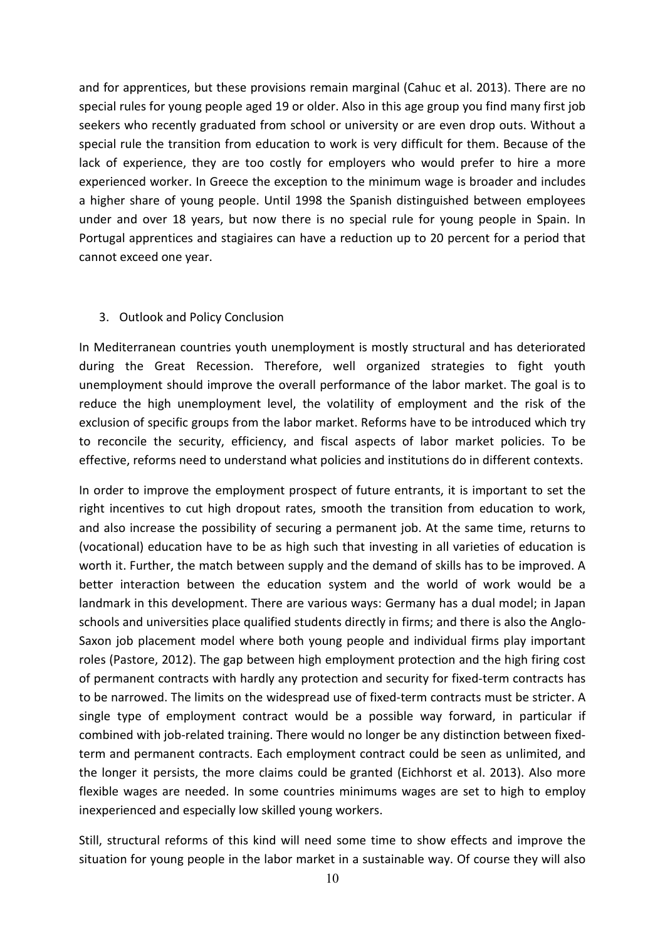and for apprentices, but these provisions remain marginal (Cahuc et al. 2013). There are no special rules for young people aged 19 or older. Also in this age group you find many first job seekers who recently graduated from school or university or are even drop outs. Without a special rule the transition from education to work is very difficult for them. Because of the lack of experience, they are too costly for employers who would prefer to hire a more experienced worker. In Greece the exception to the minimum wage is broader and includes a higher share of young people. Until 1998 the Spanish distinguished between employees under and over 18 years, but now there is no special rule for young people in Spain. In Portugal apprentices and stagiaires can have a reduction up to 20 percent for a period that cannot exceed one year.

### 3. Outlook and Policy Conclusion

In Mediterranean countries youth unemployment is mostly structural and has deteriorated during the Great Recession. Therefore, well organized strategies to fight youth unemployment should improve the overall performance of the labor market. The goal is to reduce the high unemployment level, the volatility of employment and the risk of the exclusion of specific groups from the labor market. Reforms have to be introduced which try to reconcile the security, efficiency, and fiscal aspects of labor market policies. To be effective, reforms need to understand what policies and institutions do in different contexts.

In order to improve the employment prospect of future entrants, it is important to set the right incentives to cut high dropout rates, smooth the transition from education to work, and also increase the possibility of securing a permanent job. At the same time, returns to (vocational) education have to be as high such that investing in all varieties of education is worth it. Further, the match between supply and the demand of skills has to be improved. A better interaction between the education system and the world of work would be a landmark in this development. There are various ways: Germany has a dual model; in Japan schools and universities place qualified students directly in firms; and there is also the Anglo-Saxon job placement model where both young people and individual firms play important roles (Pastore, 2012). The gap between high employment protection and the high firing cost of permanent contracts with hardly any protection and security for fixed-term contracts has to be narrowed. The limits on the widespread use of fixed-term contracts must be stricter. A single type of employment contract would be a possible way forward, in particular if combined with job-related training. There would no longer be any distinction between fixedterm and permanent contracts. Each employment contract could be seen as unlimited, and the longer it persists, the more claims could be granted (Eichhorst et al. 2013). Also more flexible wages are needed. In some countries minimums wages are set to high to employ inexperienced and especially low skilled young workers.

Still, structural reforms of this kind will need some time to show effects and improve the situation for young people in the labor market in a sustainable way. Of course they will also